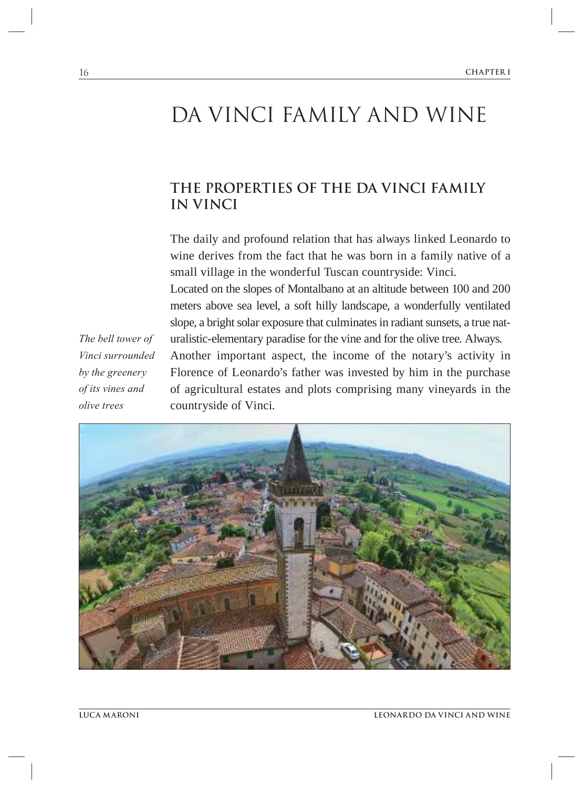# DA VINCI FAMILY AND WINE

## **THE PROPERTIES OF THE DA VINCI FAMILY IN VINCI**

The daily and profound relation that has always linked Leonardo to wine derives from the fact that he was born in a family native of a small village in the wonderful Tuscan countryside: Vinci. Located on the slopes of Montalbano at an altitude between 100 and 200 meters above sea level, a soft hilly landscape, a wonderfully ventilated slope, a bright solar exposure that culminates in radiant sunsets, a true naturalistic-elementary paradise for the vine and for the olive tree. Always. Another important aspect, the income of the notary's activity in Florence of Leonardo's father was invested by him in the purchase of agricultural estates and plots comprising many vineyards in the countryside of Vinci.

*The bell tower of Vinci surrounded by the greenery of its vines and olive trees*

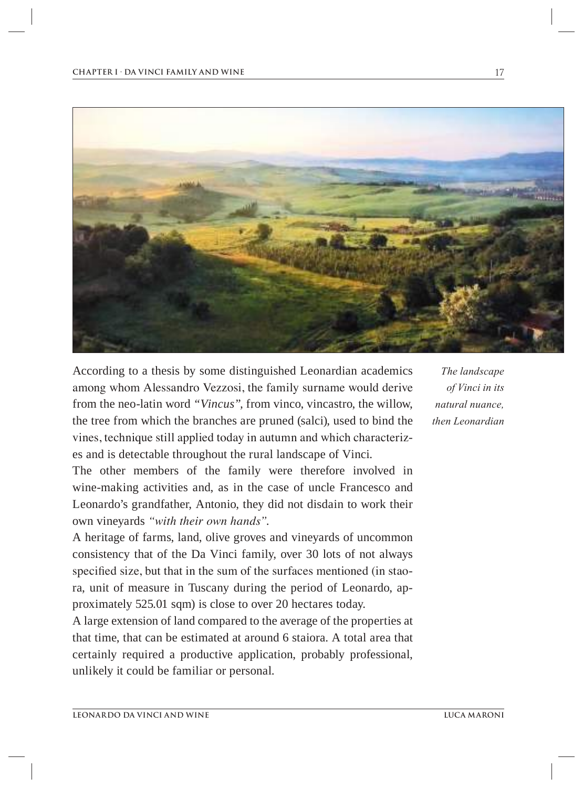

According to a thesis by some distinguished Leonardian academics among whom Alessandro Vezzosi, the family surname would derive from the neo-latin word *"Vincus",* from vinco, vincastro, the willow, the tree from which the branches are pruned (salci), used to bind the vines, technique still applied today in autumn and which characterizes and is detectable throughout the rural landscape of Vinci.

The other members of the family were therefore involved in wine-making activities and, as in the case of uncle Francesco and Leonardo's grandfather, Antonio, they did not disdain to work their own vineyards *"with their own hands"*.

A heritage of farms, land, olive groves and vineyards of uncommon consistency that of the Da Vinci family, over 30 lots of not always specifed size, but that in the sum of the surfaces mentioned (in staora, unit of measure in Tuscany during the period of Leonardo, approximately 525.01 sqm) is close to over 20 hectares today.

A large extension of land compared to the average of the properties at that time, that can be estimated at around 6 staiora. A total area that certainly required a productive application, probably professional, unlikely it could be familiar or personal.

*The landscape of Vinci in its natural nuance, then Leonardian*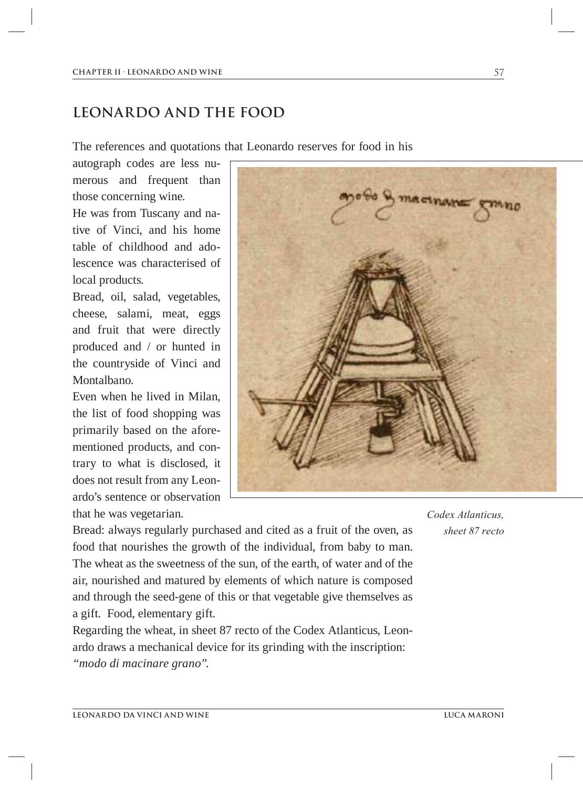### **LEONARDO AND THE FOOD**

The references and quotations that Leonardo reserves for food in his

autograph codes are less numerous and frequent than those concerning wine.

He was from Tuscany and native of Vinci, and his home table of childhood and adolescence was characterised of local products.

Bread, oil, salad, vegetables, cheese, salami, meat, eggs and fruit that were directly produced and / or hunted in the countryside of Vinci and Montalbano.

Even when he lived in Milan, the list of food shopping was primarily based on the aforementioned products, and contrary to what is disclosed, it does not result from any Leonardo's sentence or observation that he was vegetarian.

Bread: always regularly purchased and cited as a fruit of the oven, as food that nourishes the growth of the individual, from baby to man. The wheat as the sweetness of the sun, of the earth, of water and of the air, nourished and matured by elements of which nature is composed and through the seed-gene of this or that vegetable give themselves as a gift. Food, elementary gift.

Regarding the wheat, in sheet 87 recto of the Codex Atlanticus, Leonardo draws a mechanical device for its grinding with the inscription: *"modo di macinare grano".* 

*Codex Atlanticus, sheet 87 recto*

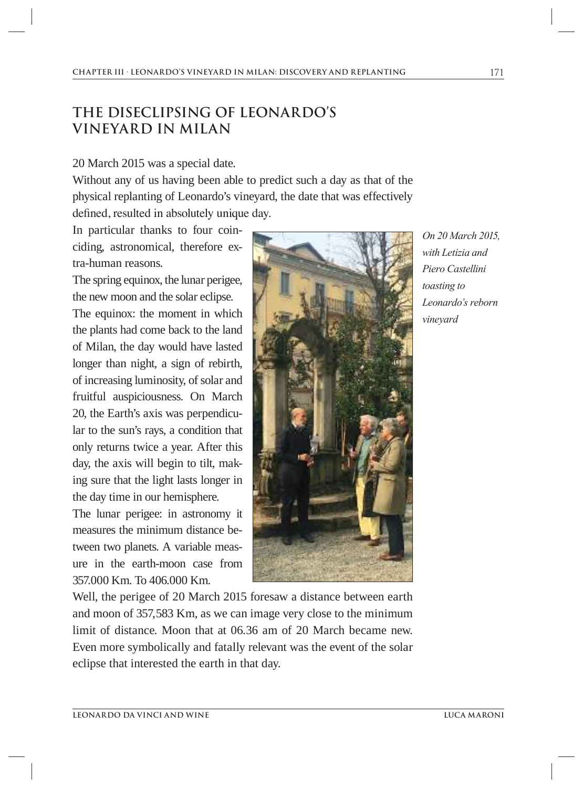# **THE DISECLIPSING OF LEONARDO'S VINEYARD IN MILAN**

#### 20 March 2015 was a special date.

Without any of us having been able to predict such a day as that of the physical replanting of Leonardo's vineyard, the date that was effectively defned, resulted in absolutely unique day.

In particular thanks to four coinciding, astronomical, therefore extra-human reasons.

The spring equinox, the lunar perigee, the new moon and the solar eclipse.

The equinox: the moment in which the plants had come back to the land of Milan, the day would have lasted longer than night, a sign of rebirth, of increasing luminosity, of solar and fruitful auspiciousness. On March 20, the Earth's axis was perpendicular to the sun's rays, a condition that only returns twice a year. After this day, the axis will begin to tilt, making sure that the light lasts longer in the day time in our hemisphere.

The lunar perigee: in astronomy it measures the minimum distance between two planets. A variable measure in the earth-moon case from 357.000 Km. To 406.000 Km.



*On 20 March 2015, with Letizia and Piero Castellini toasting to Leonardo's reborn vineyard*

Well, the perigee of 20 March 2015 foresaw a distance between earth and moon of 357,583 Km, as we can image very close to the minimum limit of distance. Moon that at 06.36 am of 20 March became new. Even more symbolically and fatally relevant was the event of the solar eclipse that interested the earth in that day.

171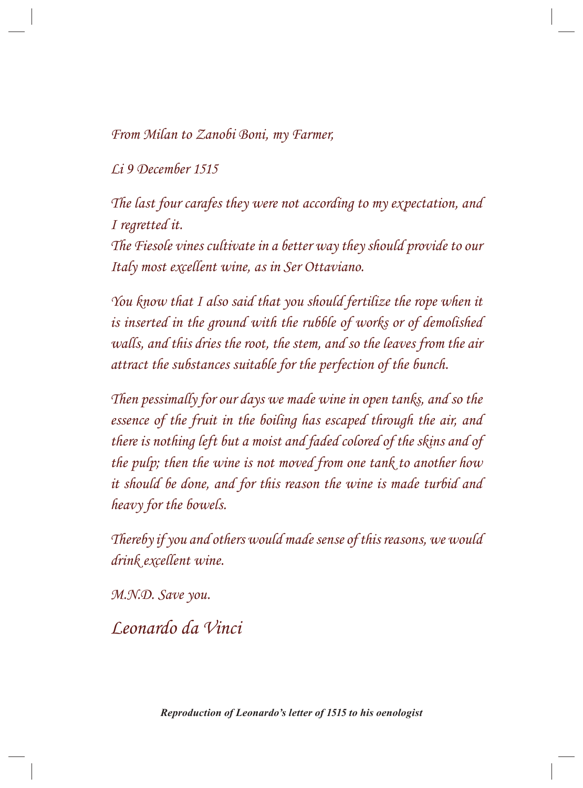From Milan to Zanobi Boni, my Farmer,

Li 9 December 1515

The last four carafes they were not according to my expectation, and I regretted it.

The Fiesole vines cultivate in a better way they should provide to our Italy most excellent wine, as in Ser Ottaviano.

You know that I also said that you should fertilize the rope when it is inserted in the ground with the rubble of works or of demolished walls, and this dries the root, the stem, and so the leaves from the air attract the substances suitable for the perfection of the bunch.

Then pessimally for our days we made wine in open tanks, and so the essence of the fruit in the boiling has escaped through the air, and there is nothing left but a moist and faded colored of the skins and of the pulp; then the wine is not moved from one tank to another how it should be done, and for this reason the wine is made turbid and heavy for the bowels.

Thereby if you and others would made sense of this reasons, we would drink excellent wine.

M.N.D. Save you.

Leonardo da Vinci

*Reproduction of Leonardo's letter of 1515 to his oenologist*